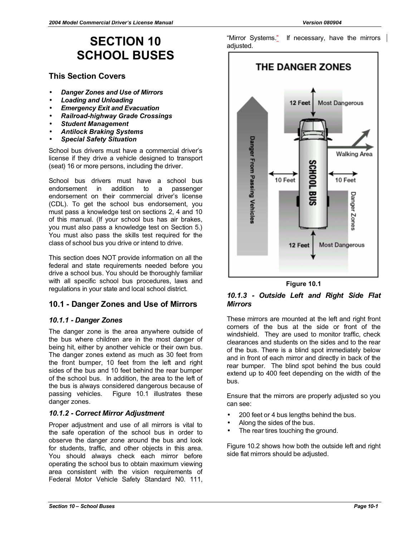If necessary, have the mirrors

"Mirror Systems."

# **SECTION 10 SCHOOL BUSES**

# **This Section Covers**

- **Danger Zones and Use of Mirrors**
- **Loading and Unloading**
- **Emergency Exit and Evacuation**
- **Railroad-highway Grade Crossings**
- **Student Management**
- **Antilock Braking Systems**
- **Special Safety Situation**

School bus drivers must have a commercial driver's license if they drive a vehicle designed to transport (seat) 16 or more persons, including the driver.

School bus drivers must have a school bus addition endorsement in  $t_{\Omega}$  $\overline{a}$ passenger endorsement on their commercial driver's license (CDL). To get the school bus endorsement, you must pass a knowledge test on sections 2, 4 and 10 of this manual. (If your school bus has air brakes, you must also pass a knowledge test on Section 5.) You must also pass the skills test required for the class of school bus you drive or intend to drive.

This section does NOT provide information on all the federal and state requirements needed before you drive a school bus. You should be thoroughly familiar with all specific school bus procedures. laws and requlations in your state and local school district.

# 10.1 - Danger Zones and Use of Mirrors

### 10.1.1 - Danger Zones

The danger zone is the area anywhere outside of the bus where children are in the most danger of being hit, either by another vehicle or their own bus. The danger zones extend as much as 30 feet from the front bumper, 10 feet from the left and right sides of the bus and 10 feet behind the rear bumper of the school bus. In addition, the area to the left of the bus is always considered dangerous because of passing vehicles. Figure 10.1 illustrates these danger zones.

### 10.1.2 - Correct Mirror Adjustment

Proper adjustment and use of all mirrors is vital to the safe operation of the school bus in order to observe the danger zone around the bus and look for students, traffic, and other objects in this area. You should always check each mirror before operating the school bus to obtain maximum viewing area consistent with the vision requirements of Federal Motor Vehicle Safety Standard N0. 111,



Figure 10.1

#### 10.1.3 - Outside Left and Right Side Flat **Mirrors**

These mirrors are mounted at the left and right front corners of the bus at the side or front of the windshield. They are used to monitor traffic, check clearances and students on the sides and to the rear of the bus. There is a blind spot immediately below and in front of each mirror and directly in back of the rear bumper. The blind spot behind the bus could extend up to 400 feet depending on the width of the bus.

Ensure that the mirrors are properly adjusted so you can see:

- 200 feet or 4 bus lengths behind the bus.
- Along the sides of the bus.
- The rear tires touching the ground.

Figure 10.2 shows how both the outside left and right side flat mirrors should be adjusted.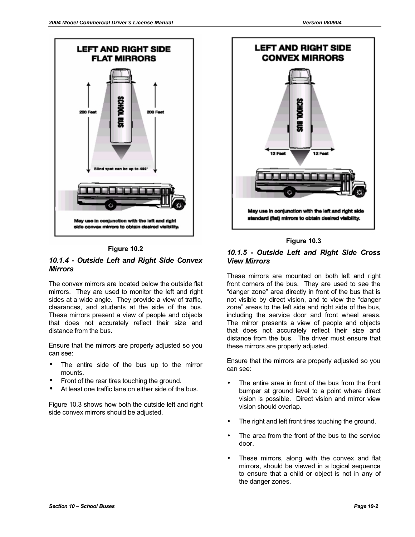

#### Figure 10.2

## 10.1.4 - Outside Left and Right Side Convex **Mirrors**

The convex mirrors are located below the outside flat mirrors. They are used to monitor the left and right sides at a wide angle. They provide a view of traffic, clearances, and students at the side of the bus. These mirrors present a view of people and objects that does not accurately reflect their size and distance from the bus.

Ensure that the mirrors are properly adjusted so you can see:

- The entire side of the bus up to the mirror mounts.
- Front of the rear tires touching the ground.
- At least one traffic lane on either side of the bus.

Figure 10.3 shows how both the outside left and right side convex mirrors should be adjusted.



#### Figure 10.3

#### 10.1.5 - Outside Left and Right Side Cross **View Mirrors**

These mirrors are mounted on both left and right front corners of the bus. They are used to see the "danger zone" area directly in front of the bus that is not visible by direct vision, and to view the "danger zone" areas to the left side and right side of the bus, including the service door and front wheel areas. The mirror presents a view of people and objects that does not accurately reflect their size and distance from the bus. The driver must ensure that these mirrors are properly adjusted.

Ensure that the mirrors are properly adjusted so you can see:

- The entire area in front of the bus from the front bumper at ground level to a point where direct vision is possible. Direct vision and mirror view vision should overlap.
- The right and left front tires touching the ground.
- The area from the front of the bus to the service door.
- These mirrors, along with the convex and flat mirrors, should be viewed in a logical sequence to ensure that a child or object is not in any of the danger zones.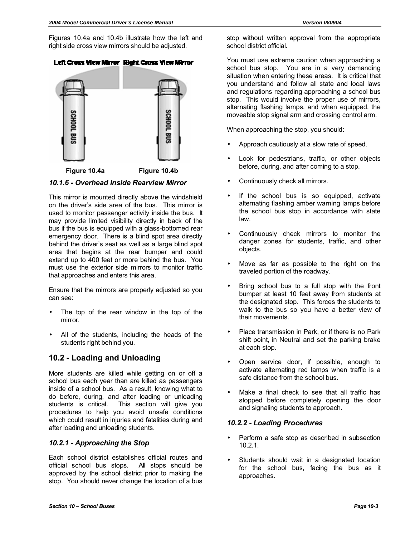Figures 10.4a and 10.4b illustrate how the left and right side cross view mirrors should be adjusted.

#### Left Cross View Mirror Right Cross View Mirror



## **Figure 10.4a Figure 10.4b**

10.1.6 - Overhead Inside Rearview Mirror

This mirror is mounted directly above the windshield on the driver's side area of the bus. This mirror is used to monitor passenger activity inside the bus. It may provide limited visibility directly in back of the bus if the bus is equipped with a glass-bottomed rear emergency door. There is a blind spot area directly behind the driver's seat as well as a large blind spot area that begins at the rear bumper and could extend up to 400 feet or more behind the bus. You must use the exterior side mirrors to monitor traffic that approaches and enters this area.

Ensure that the mirrors are properly adjusted so you can see:

- The top of the rear window in the top of the mirror.
- All of the students, including the heads of the students right behind you.

# **10.2 - Loading and Unloading**

More students are killed while getting on or off a school bus each year than are killed as passengers inside of a school bus. As a result, knowing what to do before, during, and after loading or unloading students is critical. This section will give you procedures to help you avoid unsafe conditions which could result in injuries and fatalities during and after loading and unloading students.

#### 10.2.1 - Approaching the Stop

Each school district establishes official routes and official school bus stops. All stops should be approved by the school district prior to making the stop. You should never change the location of a bus stop without written approval from the appropriate school district official.

You must use extreme caution when approaching a school bus stop. You are in a very demanding situation when entering these areas. It is critical that you understand and follow all state and local laws and regulations regarding approaching a school bus stop. This would involve the proper use of mirrors, alternating flashing lamps, and when equipped, the moveable stop signal arm and crossing control arm.

When approaching the stop, you should:

- Approach cautiously at a slow rate of speed.
- Look for pedestrians, traffic, or other objects before, during, and after coming to a stop.
- Continuously check all mirrors.
- If the school bus is so equipped, activate alternating flashing amber warning lamps before the school bus stop in accordance with state law.
- Continuously check mirrors to monitor the danger zones for students, traffic, and other objects.
- Move as far as possible to the right on the traveled portion of the roadway.
- Bring school bus to a full stop with the front bumper at least 10 feet away from students at the designated stop. This forces the students to walk to the bus so you have a better view of their movements.
- Place transmission in Park, or if there is no Park shift point, in Neutral and set the parking brake at each stop.
- Open service door, if possible, enough to activate alternating red lamps when traffic is a safe distance from the school bus.
- Make a final check to see that all traffic has stopped before completely opening the door and signaling students to approach.

#### *10. 2. 2 - Loading Pr ocedur es*

- Perform a safe stop as described in subsection  $10.2.1.$
- Students should wait in a designated location for the school bus, facing the bus as it approaches.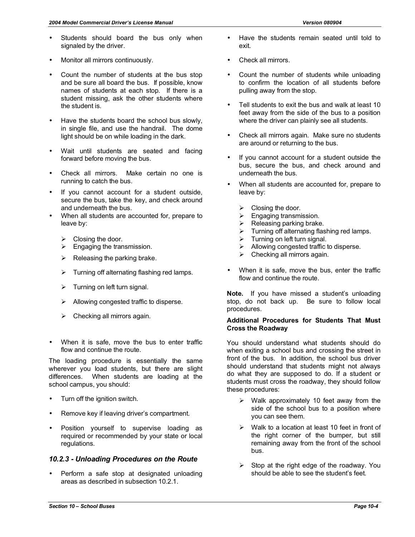- Students should board the bus only when signaled by the driver.
- Monitor all mirrors continuously.
- Count the number of students at the bus stop and be sure all board the bus. If possible, know names of students at each stop. If there is a student missing, ask the other students where the student is.
- Have the students board the school bus slowly, in single file, and use the handrail. The dome light should be on while loading in the dark.
- Wait until students are seated and facing forward before moving the bus.
- Check all mirrors. Make certain no one is running to catch the bus.
- If you cannot account for a student outside, secure the bus, take the key, and check around and underneath the bus.
- When all students are accounted for, prepare to leave by:
	- $\triangleright$  Closing the door.
	- $\triangleright$  Engaging the transmission.
	- $\triangleright$  Releasing the parking brake.
	- $\triangleright$  Turning off alternating flashing red lamps.
	- $\triangleright$  Turning on left turn signal.
	- $\triangleright$  Allowing congested traffic to disperse.
	- $\triangleright$  Checking all mirrors again.
- When it is safe, move the bus to enter traffic flow and continue the route

The loading procedure is essentially the same wherever you load students, but there are slight differences. When students are loading at the school campus, you should:

- Turn off the ignition switch.
- Remove key if leaving driver's compartment.
- Position yourself to supervise loading as required or recommended by your state or local regulations.

#### 10.2.3 - Unloading Procedures on the Route

Perform a safe stop at designated unloading areas as described in subsection 10.2.1.

- Have the students remain seated until told to exit.
- Check all mirrors.
- Count the number of students while unloading to confirm the location of all students before pulling away from the stop.
- $\bullet$  Tell students to exit the bus and walk at least 10 feet away from the side of the bus to a position where the driver can plainly see all students.
- Check all mirrors again. Make sure no students are around or returning to the bus.
- If you cannot account for a student outside the bus, secure the bus, and check around and underneath the bus.
- When all students are accounted for, prepare to leave by:
	- $\triangleright$  Closing the door.
	- $\triangleright$  Engaging transmission.
	- $\triangleright$  Releasing parking brake.
	- $\triangleright$  Turning off alternating flashing red lamps.
	- $\geq$  Turning on left turn signal.<br>  $\geq$  Allowing congested traffic t
	- Allowing congested traffic to disperse.
	- $\triangleright$  Checking all mirrors again.
- When it is safe, move the bus, enter the traffic flow and continue the route

**Note.** If you have missed a student's unloading stop, do not back up. Be sure to follow local procedures.

#### **Additional Procedures for Students That Must Cross the Roadway**

You should understand what students should do when exiting a school bus and crossing the street in front of the bus. In addition, the school bus driver should understand that students might not always do what they are supposed to do. If a student or students must cross the roadway, they should follow these procedures:

- $\triangleright$  Walk approximately 10 feet away from the side of the school bus to a position where you can see them.
- $\triangleright$  Walk to a location at least 10 feet in front of the right corner of the bumper, but still remaining away from the front of the school bus.
- $\triangleright$  Stop at the right edge of the roadway. You should be able to see the student's feet.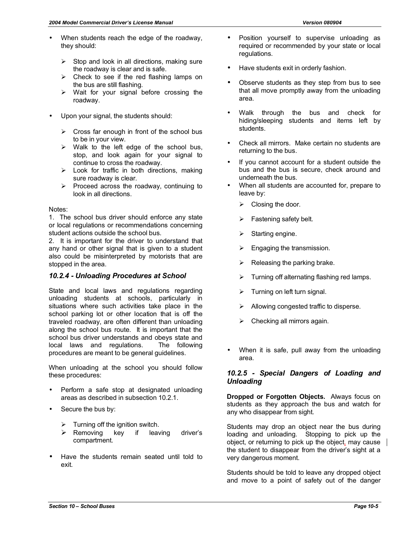- When students reach the edge of the roadway, they should:
	- $\triangleright$  Stop and look in all directions, making sure the roadway is clear and is safe.
	- $\triangleright$  Check to see if the red flashing lamps on the bus are still flashing.
	- $\triangleright$  Wait for your signal before crossing the roadway.
- Upon your signal, the students should:
	- $\triangleright$  Cross far enough in front of the school bus to be in your view.
	- $\triangleright$  Walk to the left edge of the school bus, stop, and look again for your signal to continue to cross the roadway.
	- $\triangleright$  Look for traffic in both directions, making sure roadway is clear.
	- $\triangleright$  Proceed across the roadway, continuing to look in all directions.

Notes:

1. The school bus driver should enforce any state or local regulations or recommendations concerning student actions outside the school bus.

2. It is important for the driver to understand that any hand or other signal that is given to a student also could be misinterpreted by motorists that are stopped in the area.

### 10.2.4 - Unloading Procedures at School

State and local laws and regulations regarding unloading students at schools, particularly in situations where such activities take place in the school parking lot or other location that is off the traveled roadway, are often different than unloading along the school bus route. It is important that the school bus driver understands and obeys state and<br>local laws and regulations. The following local laws and regulations. procedures are meant to be general guidelines.

When unloading at the school you should follow these procedures:

- Perform a safe stop at designated unloading areas as described in subsection 10.2.1.
- Secure the bus by:
	- $\triangleright$  Turning off the ignition switch.
	- $\triangleright$  Removing key if leaving driver's compartment.
- Have the students remain seated until told to e xit.
- Position yourself to supervise unloading as required or recommended by your state or local regulations.
- Have students exit in orderly fashion.
- Observe students as they step from bus to see that all move promptly away from the unloading area.
- Walk through the bus and check for hiding/sleeping students and items left by students.
- Check all mirrors. Make certain no students are returning to the bus.
- If you cannot account for a student outside the bus and the bus is secure, check around and underneath the bus.
- When all students are accounted for, prepare to leave by:
	- $\triangleright$  Closing the door.
	- $\triangleright$  Fastening safety belt.
	- $\triangleright$  Starting engine.
	- $\triangleright$  Engaging the transmission.
	- $\triangleright$  Releasing the parking brake.
	- $\triangleright$  Turning off alternating flashing red lamps.
	- $\triangleright$  Turning on left turn signal.
	- $\triangleright$  Allowing congested traffic to disperse.
	- $\triangleright$  Checking all mirrors again.
- When it is safe, pull away from the unloading area.

## *10. 2. 5 - Special Dangers of Loading and Unl oadi ng*

**Dropped or Forgotten Objects. Always focus on** students as they approach the bus and watch for any who disappear from sight.

Students may drop an object near the bus during loading and unloading. Stopping to pick up the object, or returning to pick up the object, may cause the student to disappear from the driver's sight at a very dangerous moment.

Students should be told to leave any dropped object and move to a point of safety out of the danger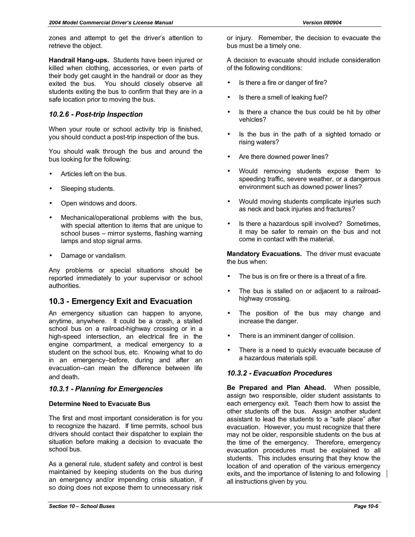zones and attempt to get the driver's attention to retrieve the object.

**Handrail Hang-ups.** Students have been injured or killed when clothing, accessories, or even parts of their body get caught in the handrail or door as they exited the bus. You should closely observe all students exiting the bus to confirm that they are in a safe location prior to moving the bus.

## *10. 2. 6 - Post -t ri p Inspecti on*

When your route or school activity trip is finished, you should conduct a post-trip inspection of the bus.

You should walk through the bus and around the bus looking for the following:

- Articles left on the bus.
- Sleeping students.
- Open windows and doors.
- Mechanical/operational problems with the bus, with special attention to items that are unique to school buses – mirror systems, flashing warning lamps and stop signal arms.
- Damage or vandalism.

Any problems or special situations should be reported immediately to your supervisor or school authorities.

# **10.3 - Emergency Exit and Evacuation**

An emergency situation can happen to anyone, anytime, anywhere. It could be a crash, a stalled school bus on a railroad-highway crossing or in a high-speed intersection, an electrical fire in the engine compartment, a medical emergency to a student on the school bus, etc. Knowing what to do in an emergency-before, during and after an evacuation-can mean the difference between life and death.

# 10.3.1 - Planning for Emergencies

#### **Determine Need to Evacuate Bus**

The first and most important consideration is for you to recognize the hazard. If time permits, school bus drivers should contact their dispatcher to explain the situation before making a decision to evacuate the school bus

As a general rule, student safety and control is best maintained by keeping students on the bus during an emergency and/or impending crisis situation, if so doing does not expose them to unnecessary risk

or injury. Remember, the decision to evacuate the bus must be a timely one.

A decision to evacuate should include consideration of the following conditions:

- Is there a fire or danger of fire?
- Is there a smell of leaking fuel?
- Is there a chance the bus could be hit by other vehicles?
- Is the bus in the path of a sighted tornado or rising waters?
- Are there downed power lines?
- Would removing students expose them to speeding traffic, severe weather, or a dangerous en vironment such as downed power lines?
- Would moving students complicate injuries such as neck and back injuries and fractures?
- Is there a hazardous spill involved? Sometimes, it may be safer to remain on the bus and not come in contact with the material.

**Mandatory Evacuations.** The driver must evacuate the bus when:

- The bus is on fire or there is a threat of a fire.
- The bus is stalled on or adjacent to a railroadhighway crossing.
- The position of the bus may change and increase the danger.
- There is an imminent danger of collision.
- There is a need to quickly evacuate because of a hazardous materials spill.

# *10.3.2 - Evacuation Procedur es*

Be Prepared and Plan Ahead. When possible, assign two responsible, older student assistants to each emergency exit. Teach them how to assist the other students off the bus. Assign another student assistant to lead the students to a "safe place" after evacuation. However, you must recognize that there may not be older, responsible students on the bus at the time of the emergency. Therefore, emergency evacuation procedures must be explained to all students. This includes ensuring that they know the location of and operation of the various emergency exits, and the importance of listening to and following all instructions given by you.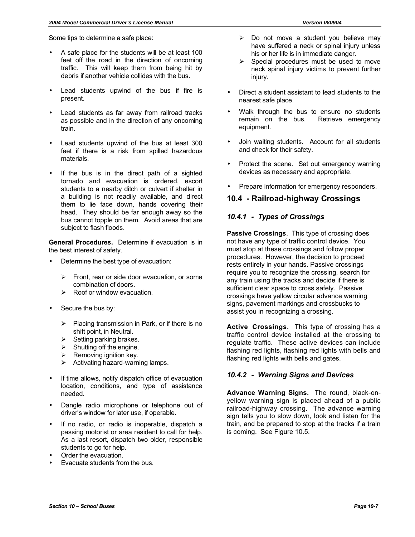Some tips to determine a safe place:

- A safe place for the students will be at least 100 feet off the road in the direction of oncoming traffic. This will keep them from being hit by debris if another vehicle collides with the bus.
- Lead students upwind of the bus if fire is present.
- Lead students as far away from railroad tracks as possible and in the direction of any oncoming train
- Lead students upwind of the bus at least 300 feet if there is a risk from spilled hazardous materials
- If the bus is in the direct path of a sighted tornado and evacuation is ordered, escort students to a nearby ditch or culvert if shelter in a building is not readily available, and direct them to lie face down, hands covering their head. They should be far enough away so the bus cannot topple on them. Avoid areas that are subject to flash floods.

**General Procedures.** Determine if evacuation is in the best interest of safety.

- Determine the best type of evacuation:
	- $\triangleright$  Front, rear or side door evacuation, or some combination of doors.
	- $\triangleright$  Roof or window evacuation.
- Secure the bus by:
	- $\triangleright$  Placing transmission in Park, or if there is no shift point, in Neutral.
	- > Setting parking brakes.<br>> Shutting off the engine.
	-
	- $\triangleright$  Removing ignition key.
	- $\triangleright$  Activating hazard-warning lamps.
- If time allows, notify dispatch office of evacuation location, conditions, and type of assistance needed.
- Dangle radio microphone or telephone out of driver's window for later use, if operable.
- If no radio, or radio is inoperable, dispatch a passing motorist or area resident to call for help. As a last resort, dispatch two older, responsible students to go for help.
- Order the evacuation.
- Evacuate students from the bus.
- $\triangleright$  Do not move a student you believe may have suffered a neck or spinal injury unless his or her life is in immediate danger.
- $\triangleright$  Special procedures must be used to move neck spinal injury victims to prevent further iniurv.
- Direct a student assistant to lead students to the nearest safe place.
- $\bullet$ Walk through the bus to ensure no students remain on the bus. Retrieve emergency equipment.
- Join waiting students. Account for all students  $\bullet$ and check for their safety.
- Protect the scene. Set out emergency warning devices as necessary and appropriate.
- Prepare information for emergency responders.

## 10.4 - Railroad-highway Crossings

### 10.4.1 - Types of Crossings

Passive Crossings. This type of crossing does not have any type of traffic control device. You must stop at these crossings and follow proper procedures. However, the decision to proceed rests entirely in your hands. Passive crossings require you to recognize the crossing, search for any train using the tracks and decide if there is sufficient clear space to cross safely. Passive crossings have yellow circular advance warning signs, pavement markings and crossbucks to assist you in recognizing a crossing.

Active Crossings. This type of crossing has a traffic control device installed at the crossing to requlate traffic. These active devices can include flashing red lights, flashing red lights with bells and flashing red lights with bells and gates.

### 10.4.2 - Warning Signs and Devices

Advance Warning Signs. The round, black-onyellow warning sign is placed ahead of a public railroad-highway crossing. The advance warning sign tells you to slow down, look and listen for the train, and be prepared to stop at the tracks if a train is coming. See Figure 10.5.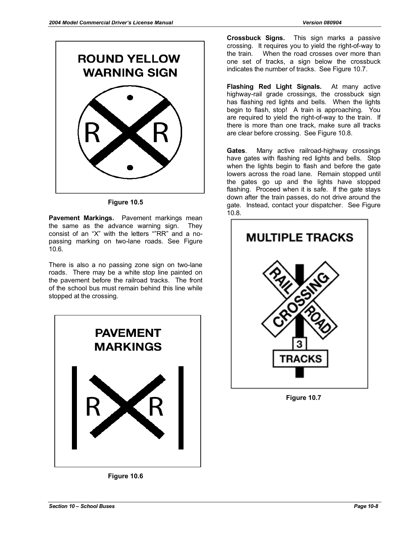

#### **Figure 10.5**

**Pavement Markings.** Pavement markings mean the same as the advance warning sign. They consist of an "X" with the letters ""RR" and a nopassing marking on two-lane roads. See Figure 10.6.

There is also a no passing zone sign on two-lane roads. There may be a white stop line painted on the pavement before the railroad tracks. The front of the school bus must remain behind this line while stopped at the crossing.



**Figure 10.6**

**Crossbuck Signs.** This sign marks a passive crossing. It requires you to yield the right-of-way to the train. When the road crosses over more than one set of tracks, a sign below the crossbuck indicates the number of tracks. See Figure 10.7.

**Flashing Red Light Signals.** At many active highway-rail grade crossings, the crossbuck sign has flashing red lights and bells. When the lights begin to flash, stop! A train is approaching. You are required to yield the right-of-way to the train. If there is more than one track, make sure all tracks are clear before crossing. See Figure 10.8.

**Gates**. Many active railroad-highway crossings have gates with flashing red lights and bells. Stop when the lights begin to flash and before the gate lowers across the road lane. Remain stopped until the gates go up and the lights have stopped flashing. Proceed when it is safe. If the gate stays down after the train passes, do not drive around the gate. Instead, contact your dispatcher. See Figure 10.8.



**Figure 10.7**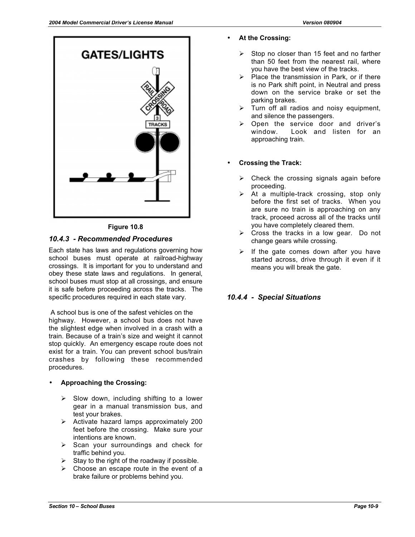

#### **Figure 10.8**

### *10.4.3 - Recommended Procedures*

Each state has laws and regulations governing how school buses must operate at railroad-highway crossings. It is important for you to understand and obey these state laws and regulations. In general, school buses must stop at all crossings, and ensure it is safe before proceeding across the tracks. The specific procedures required in each state vary.

 A school bus is one of the safest vehicles on the highway. However, a school bus does not have the slightest edge when involved in a crash with a train. Because of a train's size and weight it cannot stop quickly. An emergency escape route does not exist for a train. You can prevent school bus/train crashes by following these recommended procedures.

#### • **Approaching the Crossing:**

- $\triangleright$  Slow down, including shifting to a lower gear in a manual transmission bus, and test your brakes.
- $\triangleright$  Activate hazard lamps approximately 200 feet before the crossing. Make sure your intentions are known.
- $\triangleright$  Scan your surroundings and check for traffic behind you.
- $\triangleright$  Stay to the right of the roadway if possible.
- $\triangleright$  Choose an escape route in the event of a brake failure or problems behind you.

#### • **At the Crossing:**

- Stop no closer than 15 feet and no farther than 50 feet from the nearest rail, where you have the best view of the tracks.
- $\triangleright$  Place the transmission in Park, or if there is no Park shift point, in Neutral and press down on the service brake or set the parking brakes.
- $\triangleright$  Turn off all radios and noisy equipment, and silence the passengers.
- $\triangleright$  Open the service door and driver's window. Look and listen for an approaching train.
- **Crossing the Track:**
	- $\triangleright$  Check the crossing signals again before proceeding.
	- $\triangleright$  At a multiple-track crossing, stop only before the first set of tracks. When you are sure no train is approaching on any track, proceed across all of the tracks until you have completely cleared them.
	- $\triangleright$  Cross the tracks in a low gear. Do not change gears while crossing.
	- $\triangleright$  If the gate comes down after you have started across, drive through it even if it means you will break the gate.

#### *10.4.4 - Special Situations*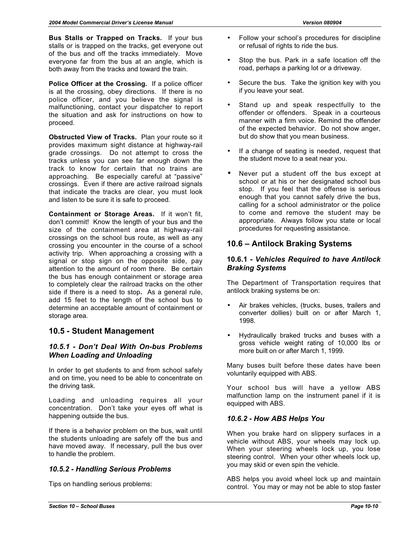**Bus Stalls or Trapped on Tracks.** If your bus stalls or is trapped on the tracks, get everyone out of the bus and off the tracks immediately. Move everyone far from the bus at an angle, which is both away from the tracks and toward the train.

**Police Officer at the Crossing.** If a police officer is at the crossing, obey directions. If there is no police officer, and you believe the signal is malfunctioning, contact your dispatcher to report the situation and ask for instructions on how to proceed.

**Obstructed View of Tracks.** Plan your route so it provides maximum sight distance at highway-rail grade crossings. Do not attempt to cross the tracks unless you can see far enough down the track to know for certain that no trains are approaching. Be especially careful at "passive" crossings. Even if there are active railroad signals that indicate the tracks are clear, you must look and listen to be sure it is safe to proceed.

**Containment or Storage Areas.** If it won't fit, don't commit! Know the length of your bus and the size of the containment area at highway-rail crossings on the school bus route, as well as any crossing you encounter in the course of a school activity trip. When approaching a crossing with a signal or stop sign on the opposite side, pay attention to the amount of room there. Be certain the bus has enough containment or storage area to completely clear the railroad tracks on the other side if there is a need to stop**.** As a general rule, add 15 feet to the length of the school bus to determine an acceptable amount of containment or storage area.

# **10.5 - Student Management**

### *10.5.1 - Don't Deal With On-bus Problems When Loading and Unloading*

In order to get students to and from school safely and on time, you need to be able to concentrate on the driving task.

Loading and unloading requires all your concentration. Don't take your eyes off what is happening outside the bus.

If there is a behavior problem on the bus, wait until the students unloading are safely off the bus and have moved away. If necessary, pull the bus over to handle the problem.

# *10.5.2 - Handling Serious Problems*

Tips on handling serious problems:

- Follow your school's procedures for discipline or refusal of rights to ride the bus.
- Stop the bus. Park in a safe location off the road, perhaps a parking lot or a driveway.
- Secure the bus. Take the ignition key with you if you leave your seat.
- Stand up and speak respectfully to the offender or offenders. Speak in a courteous manner with a firm voice. Remind the offender of the expected behavior. Do not show anger, but do show that you mean business.
- If a change of seating is needed, request that the student move to a seat near you.
- Never put a student off the bus except at school or at his or her designated school bus stop. If you feel that the offense is serious enough that you cannot safely drive the bus, calling for a school administrator or the police to come and remove the student may be appropriate. Always follow you state or local procedures for requesting assistance.

# **10.6 – Antilock Braking Systems**

## **10.6.1** *- Vehicles Required to have Antilock Braking Systems*

The Department of Transportation requires that antilock braking systems be on:

- Air brakes vehicles, (trucks, buses, trailers and converter dollies) built on or after March 1, 1998.
- Hydraulically braked trucks and buses with a gross vehicle weight rating of 10,000 lbs or more built on or after March 1, 1999.

Many buses built before these dates have been voluntarily equipped with ABS.

Your school bus will have a yellow ABS malfunction lamp on the instrument panel if it is equipped with ABS.

# *10.6.2 - How ABS Helps You*

When you brake hard on slippery surfaces in a vehicle without ABS, your wheels may lock up. When your steering wheels lock up, you lose steering control. When your other wheels lock up, you may skid or even spin the vehicle.

ABS helps you avoid wheel lock up and maintain control. You may or may not be able to stop faster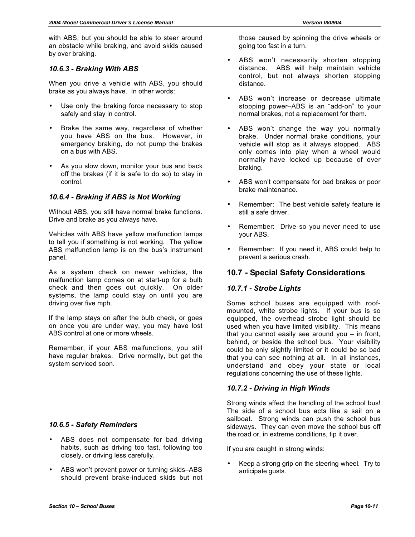with ABS, but you should be able to steer around an obstacle while braking, and avoid skids caused by over braking.

## *10.6.3 - Braking With ABS*

When you drive a vehicle with ABS, you should brake as you always have. In other words:

- Use only the braking force necessary to stop safely and stay in control.
- Brake the same way, regardless of whether you have ABS on the bus. However, in emergency braking, do not pump the brakes on a bus with ABS.
- As you slow down, monitor your bus and back off the brakes (if it is safe to do so) to stay in control.

### *10.6.4 - Braking if ABS is Not Working*

Without ABS, you still have normal brake functions. Drive and brake as you always have.

Vehicles with ABS have yellow malfunction lamps to tell you if something is not working. The yellow ABS malfunction lamp is on the bus's instrument panel.

As a system check on newer vehicles, the malfunction lamp comes on at start-up for a bulb check and then goes out quickly. On older systems, the lamp could stay on until you are driving over five mph.

If the lamp stays on after the bulb check, or goes on once you are under way, you may have lost ABS control at one or more wheels.

Remember, if your ABS malfunctions, you still have regular brakes. Drive normally, but get the system serviced soon.

## *10.6.5 - Safety Reminders*

- ABS does not compensate for bad driving habits, such as driving too fast, following too closely, or driving less carefully.
- ABS won't prevent power or turning skids–ABS should prevent brake-induced skids but not

those caused by spinning the drive wheels or going too fast in a turn.

- ABS won't necessarily shorten stopping distance. ABS will help maintain vehicle control, but not always shorten stopping distance.
- ABS won't increase or decrease ultimate stopping power–ABS is an "add-on" to your normal brakes, not a replacement for them.
- ABS won't change the way you normally brake. Under normal brake conditions, your vehicle will stop as it always stopped. ABS only comes into play when a wheel would normally have locked up because of over braking.
- ABS won't compensate for bad brakes or poor brake maintenance.
- Remember: The best vehicle safety feature is still a safe driver.
- Remember: Drive so you never need to use your ABS.
- Remember: If you need it, ABS could help to prevent a serious crash.

# **10.7 - Special Safety Considerations**

### *10.7.1 - Strobe Lights*

Some school buses are equipped with roofmounted, white strobe lights. If your bus is so equipped, the overhead strobe light should be used when you have limited visibility. This means that you cannot easily see around you – in front, behind, or beside the school bus. Your visibility could be only slightly limited or it could be so bad that you can see nothing at all. In all instances, understand and obey your state or local regulations concerning the use of these lights.

# *10.7.2 - Driving in High Winds*

Strong winds affect the handling of the school bus! The side of a school bus acts like a sail on a sailboat. Strong winds can push the school bus sideways. They can even move the school bus off the road or, in extreme conditions, tip it over.

If you are caught in strong winds:

Keep a strong grip on the steering wheel. Try to anticipate gusts.